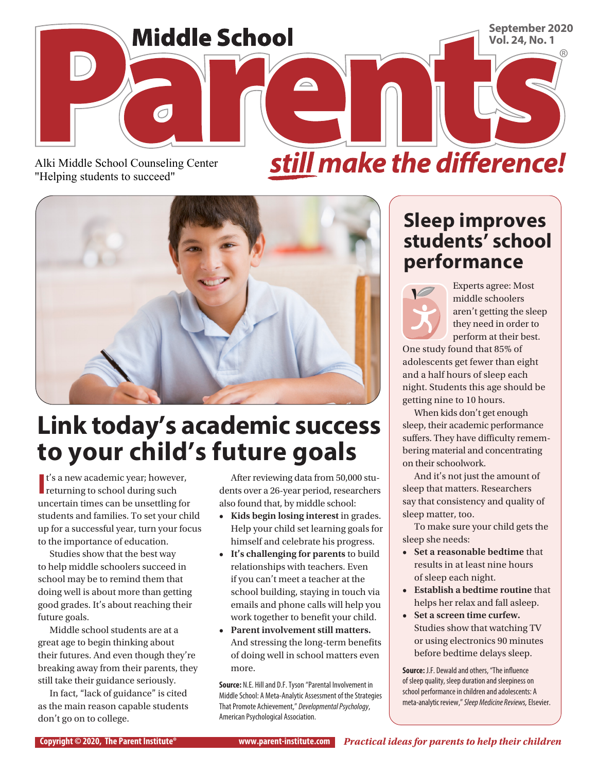

Alki Middle School Counseling Center "Helping students to succeed"

still make the difference!



## **Link today's academic success to your child's future goals**

 $\mathbf{I}'$ s a new academic year; however returning to school during such t's a new academic year; however, uncertain times can be unsettling for students and families. To set your child up for a successful year, turn your focus to the importance of education.

Studies show that the best way to help middle schoolers succeed in school may be to remind them that doing well is about more than getting good grades. It's about reaching their future goals.

Middle school students are at a great age to begin thinking about their futures. And even though they're breaking away from their parents, they still take their guidance seriously.

In fact, "lack of guidance" is cited as the main reason capable students don't go on to college.

After reviewing data from 50,000 students over a 26-year period, researchers also found that, by middle school:

- **Kids begin losing interest in grades.** Help your child set learning goals for himself and celebrate his progress.
- **• It's challenging for parents** to build relationships with teachers. Even if you can't meet a teacher at the school building, staying in touch via emails and phone calls will help you work together to benefit your child.
- **• Parent involvement still matters.**  And stressing the long-term benefits of doing well in school matters even more.

**Source:** N.E. Hill and D.F. Tyson "Parental Involvement in Middle School: A Meta-Analytic Assessment of the Strategies That Promote Achievement," *Developmental Psychology*, American Psychological Association.

#### **Sleep improves students' school performance**



Experts agree: Most middle schoolers aren't getting the sleep they need in order to perform at their best.

One study found that 85% of adolescents get fewer than eight and a half hours of sleep each night. Students this age should be getting nine to 10 hours.

When kids don't get enough sleep, their academic performance suffers. They have difficulty remembering material and concentrating on their schoolwork.

And it's not just the amount of sleep that matters. Researchers say that consistency and quality of sleep matter, too.

To make sure your child gets the sleep she needs:

- **• Set a reasonable bedtime** that results in at least nine hours of sleep each night.
- **• Establish a bedtime routine** that helps her relax and fall asleep.
- **• Set a screen time curfew.**  Studies show that watching TV or using electronics 90 minutes before bedtime delays sleep.

**Source:** J.F. Dewald and others, "The influence of sleep quality, sleep duration and sleepiness on school performance in children and adolescents: A meta-analytic review," *Sleep Medicine Reviews,* Elsevier.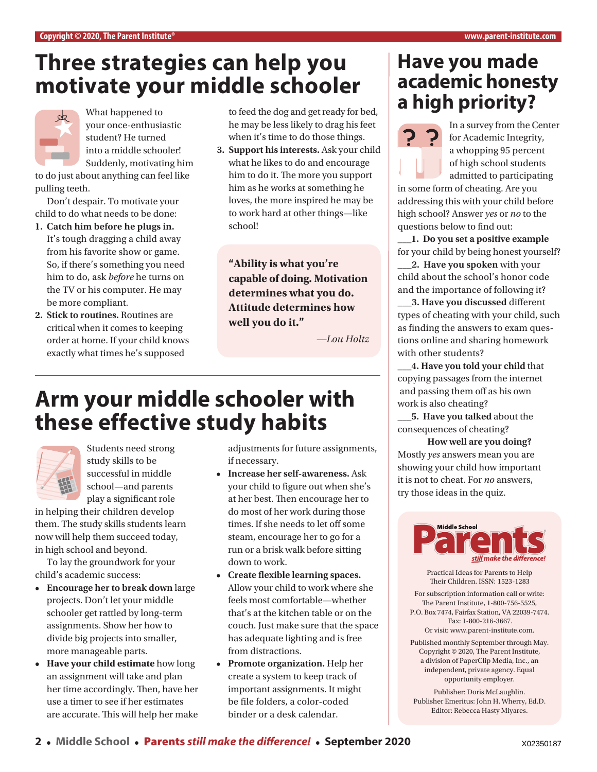#### **Three strategies can help you motivate your middle schooler**



What happened to your once-enthusiastic student? He turned into a middle schooler! Suddenly, motivating him

to do just about anything can feel like pulling teeth.

Don't despair. To motivate your child to do what needs to be done:

- **1. Catch him before he plugs in.**  It's tough dragging a child away from his favorite show or game. So, if there's something you need him to do, ask *before* he turns on the TV or his computer. He may be more compliant.
- **2. Stick to routines.** Routines are critical when it comes to keeping order at home. If your child knows exactly what times he's supposed

to feed the dog and get ready for bed, he may be less likely to drag his feet when it's time to do those things.

**3. Support his interests.** Ask your child what he likes to do and encourage him to do it. The more you support him as he works at something he loves, the more inspired he may be to work hard at other things—like school!

**"Ability is what you're capable of doing. Motivation determines what you do. Attitude determines how well you do it."** 

*—Lou Holtz*

### **Arm your middle schooler with these effective study habits**



Students need strong study skills to be successful in middle school—and parents play a significant role

in helping their children develop them. The study skills students learn now will help them succeed today, in high school and beyond.

To lay the groundwork for your child's academic success:

- **• Encourage her to break down** large projects. Don't let your middle schooler get rattled by long-term assignments. Show her how to divide big projects into smaller, more manageable parts.
- **• Have your child estimate** how long an assignment will take and plan her time accordingly. Then, have her use a timer to see if her estimates are accurate. This will help her make

adjustments for future assignments, if necessary.

- **• Increase her self-awareness.** Ask your child to figure out when she's at her best. Then encourage her to do most of her work during those times. If she needs to let off some steam, encourage her to go for a run or a brisk walk before sitting down to work.
- **• Create flexible learning spaces.**  Allow your child to work where she feels most comfortable—whether that's at the kitchen table or on the couch. Just make sure that the space has adequate lighting and is free from distractions.
- **• Promote organization.** Help her create a system to keep track of important assignments. It might be file folders, a color-coded binder or a desk calendar.

#### **Have you made academic honesty a high priority?**



In a survey from the Center for Academic Integrity, a whopping 95 percent of high school students admitted to participating

in some form of cheating. Are you addressing this with your child before high school? Answer *yes* or *no* to the questions below to find out:

**\_\_\_1. Do you set a positive example** for your child by being honest yourself? **\_\_\_2. Have you spoken** with your child about the school's honor code and the importance of following it?

**\_\_\_3. Have you discussed** different types of cheating with your child, such as finding the answers to exam questions online and sharing homework with other students?

**\_\_\_4. Have you told your child** that copying passages from the internet and passing them off as his own work is also cheating?

**\_\_\_5. Have you talked** about the consequences of cheating?

**How well are you doing?**  Mostly *yes* answers mean you are showing your child how important it is not to cheat. For *no* answers, try those ideas in the quiz.



Practical Ideas for Parents to Help Their Children. ISSN: 1523-1283

For subscription information call or write: The Parent Institute, 1-800-756-5525, P.O. Box 7474, Fairfax Station, VA 22039-7474. Fax: 1-800-216-3667.

Or visit: [www.parent-institute.com](http://www.parent-institute.com).

Published monthly September through May. Copyright © 2020, The Parent Institute, a division of PaperClip Media, Inc., an independent, private agency. Equal opportunity employer.

Publisher: Doris McLaughlin. Publisher Emeritus: John H. Wherry, Ed.D. Editor: Rebecca Hasty Miyares.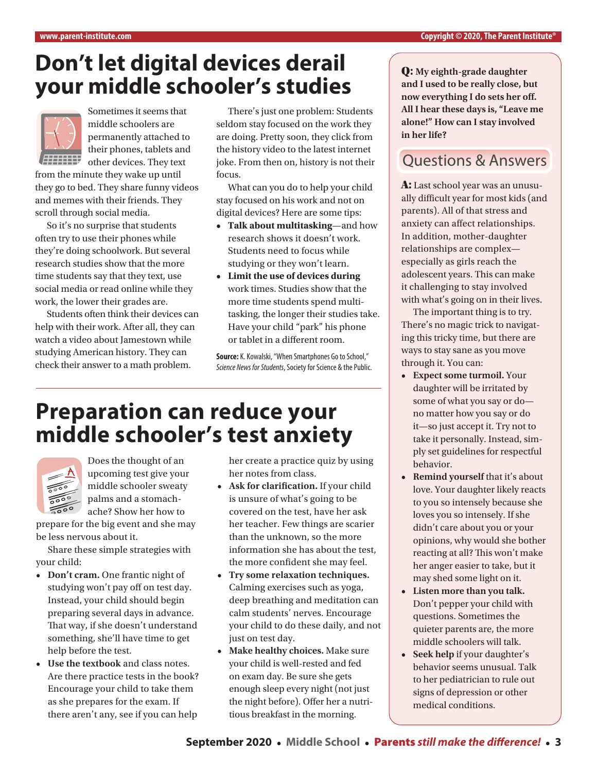### **Don't let digital devices derail your middle schooler's studies**



Sometimes it seems that middle schoolers are permanently attached to their phones, tablets and **EXTENDED other devices. They text** 

from the minute they wake up until they go to bed. They share funny videos and memes with their friends. They scroll through social media.

So it's no surprise that students often try to use their phones while they're doing schoolwork. But several research studies show that the more time students say that they text, use social media or read online while they work, the lower their grades are.

Students often think their devices can help with their work. After all, they can watch a video about Jamestown while studying American history. They can check their answer to a math problem.

There's just one problem: Students seldom stay focused on the work they are doing. Pretty soon, they click from the history video to the latest internet joke. From then on, history is not their focus.

What can you do to help your child stay focused on his work and not on digital devices? Here are some tips:

- **• Talk about multitasking**—and how research shows it doesn't work. Students need to focus while studying or they won't learn.
- **• Limit the use of devices during**  work times. Studies show that the more time students spend multitasking, the longer their studies take. Have your child "park" his phone or tablet in a different room.

**Source:** K. Kowalski, "When Smartphones Go to School," *Science News for Students*, Society for Science & the Public.

## **Preparation can reduce your middle schooler's test anxiety**



Does the thought of an upcoming test give your middle schooler sweaty palms and a stomachache? Show her how to

prepare for the big event and she may be less nervous about it.

Share these simple strategies with your child:

- **• Don't cram.** One frantic night of studying won't pay off on test day. Instead, your child should begin preparing several days in advance. That way, if she doesn't understand something, she'll have time to get help before the test.
- **• Use the textbook** and class notes. Are there practice tests in the book? Encourage your child to take them as she prepares for the exam. If there aren't any, see if you can help

her create a practice quiz by using her notes from class.

- **• Ask for clarification.** If your child is unsure of what's going to be covered on the test, have her ask her teacher. Few things are scarier than the unknown, so the more information she has about the test, the more confident she may feel.
- **• Try some relaxation techniques.** Calming exercises such as yoga, deep breathing and meditation can calm students' nerves. Encourage your child to do these daily, and not just on test day.
- **• Make healthy choices.** Make sure your child is well-rested and fed on exam day. Be sure she gets enough sleep every night (not just the night before). Offer her a nutritious breakfast in the morning.

Q: **My eighth-grade daughter and I used to be really close, but now everything I do sets her off. All I hear these days is, "Leave me alone!" How can I stay involved in her life?** 

#### Questions & Answers

A: Last school year was an unusually difficult year for most kids (and parents). All of that stress and anxiety can affect relationships. In addition, mother-daughter relationships are complex especially as girls reach the adolescent years. This can make it challenging to stay involved with what's going on in their lives.

The important thing is to try. There's no magic trick to navigating this tricky time, but there are ways to stay sane as you move through it. You can:

- **• Expect some turmoil.** Your daughter will be irritated by some of what you say or do no matter how you say or do it—so just accept it. Try not to take it personally. Instead, simply set guidelines for respectful behavior.
- **• Remind yourself** that it's about love. Your daughter likely reacts to you so intensely because she loves you so intensely. If she didn't care about you or your opinions, why would she bother reacting at all? This won't make her anger easier to take, but it may shed some light on it.
- **• Listen more than you talk.**  Don't pepper your child with questions. Sometimes the quieter parents are, the more middle schoolers will talk.
- **• Seek help** if your daughter's behavior seems unusual. Talk to her pediatrician to rule out signs of depression or other medical conditions.